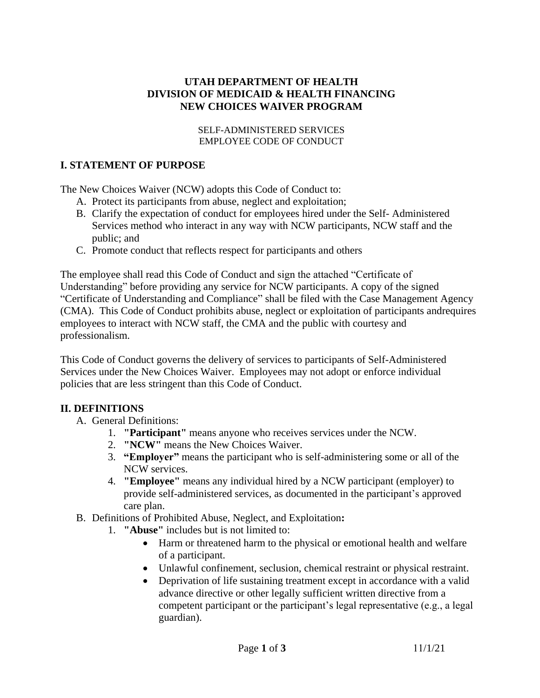### **UTAH DEPARTMENT OF HEALTH DIVISION OF MEDICAID & HEALTH FINANCING NEW CHOICES WAIVER PROGRAM**

#### SELF-ADMINISTERED SERVICES EMPLOYEE CODE OF CONDUCT

## **I. STATEMENT OF PURPOSE**

The New Choices Waiver (NCW) adopts this Code of Conduct to:

- A. Protect its participants from abuse, neglect and exploitation;
- B. Clarify the expectation of conduct for employees hired under the Self- Administered Services method who interact in any way with NCW participants, NCW staff and the public; and
- C. Promote conduct that reflects respect for participants and others

The employee shall read this Code of Conduct and sign the attached "Certificate of Understanding" before providing any service for NCW participants. A copy of the signed "Certificate of Understanding and Compliance" shall be filed with the Case Management Agency (CMA). This Code of Conduct prohibits abuse, neglect or exploitation of participants andrequires employees to interact with NCW staff, the CMA and the public with courtesy and professionalism.

This Code of Conduct governs the delivery of services to participants of Self-Administered Services under the New Choices Waiver. Employees may not adopt or enforce individual policies that are less stringent than this Code of Conduct.

### **II. DEFINITIONS**

- A. General Definitions:
	- 1. **"Participant"** means anyone who receives services under the NCW.
	- 2. **"NCW"** means the New Choices Waiver.
	- 3. **"Employer"** means the participant who is self-administering some or all of the NCW services.
	- 4. **"Employee"** means any individual hired by a NCW participant (employer) to provide self-administered services, as documented in the participant's approved care plan.
- B. Definitions of Prohibited Abuse, Neglect, and Exploitation**:**
	- 1. **"Abuse"** includes but is not limited to:
		- Harm or threatened harm to the physical or emotional health and welfare of a participant.
		- Unlawful confinement, seclusion, chemical restraint or physical restraint.
		- Deprivation of life sustaining treatment except in accordance with a valid advance directive or other legally sufficient written directive from a competent participant or the participant's legal representative (e.g., a legal guardian).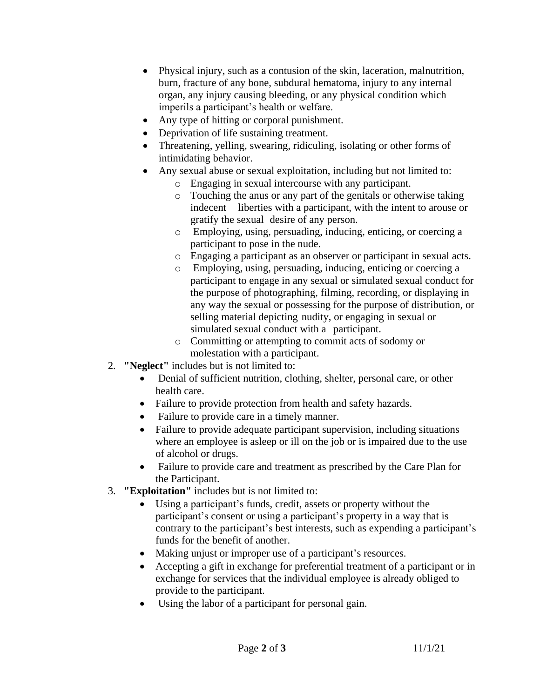- Physical injury, such as a contusion of the skin, laceration, malnutrition, burn, fracture of any bone, subdural hematoma, injury to any internal organ, any injury causing bleeding, or any physical condition which imperils a participant's health or welfare.
- Any type of hitting or corporal punishment.
- Deprivation of life sustaining treatment.
- Threatening, yelling, swearing, ridiculing, isolating or other forms of intimidating behavior.
- Any sexual abuse or sexual exploitation, including but not limited to:
	- o Engaging in sexual intercourse with any participant.
	- o Touching the anus or any part of the genitals or otherwise taking indecent liberties with a participant, with the intent to arouse or gratify the sexual desire of any person.
	- o Employing, using, persuading, inducing, enticing, or coercing a participant to pose in the nude.
	- o Engaging a participant as an observer or participant in sexual acts.
	- o Employing, using, persuading, inducing, enticing or coercing a participant to engage in any sexual or simulated sexual conduct for the purpose of photographing, filming, recording, or displaying in any way the sexual or possessing for the purpose of distribution, or selling material depicting nudity, or engaging in sexual or simulated sexual conduct with a participant.
	- o Committing or attempting to commit acts of sodomy or molestation with a participant.
- 2. **"Neglect"** includes but is not limited to:
	- Denial of sufficient nutrition, clothing, shelter, personal care, or other health care.
	- Failure to provide protection from health and safety hazards.
	- Failure to provide care in a timely manner.
	- Failure to provide adequate participant supervision, including situations where an employee is asleep or ill on the job or is impaired due to the use of alcohol or drugs.
	- Failure to provide care and treatment as prescribed by the Care Plan for the Participant.
- 3. **"Exploitation"** includes but is not limited to:
	- Using a participant's funds, credit, assets or property without the participant's consent or using a participant's property in a way that is contrary to the participant's best interests, such as expending a participant's funds for the benefit of another.
	- Making unjust or improper use of a participant's resources.
	- Accepting a gift in exchange for preferential treatment of a participant or in exchange for services that the individual employee is already obliged to provide to the participant.
	- Using the labor of a participant for personal gain.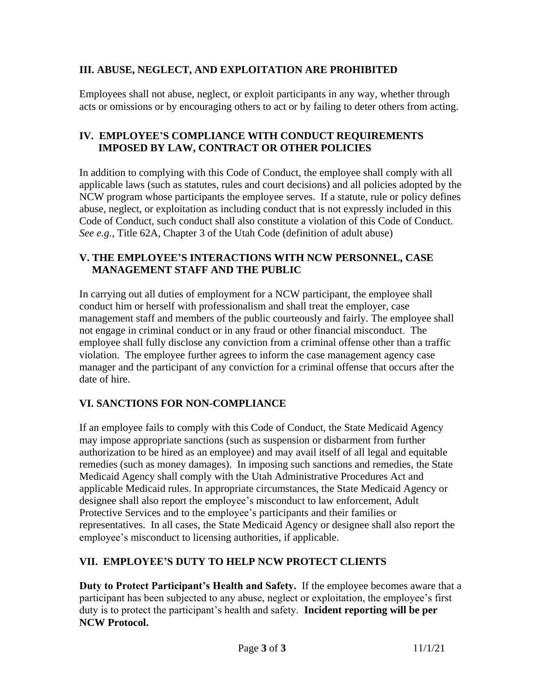# **III. ABUSE, NEGLECT, AND EXPLOITATION ARE PROHIBITED**

Employees shall not abuse, neglect, or exploit participants in any way, whether through acts or omissions or by encouraging others to act or by failing to deter others from acting.

## **IV. EMPLOYEE'S COMPLIANCE WITH CONDUCT REQUIREMENTS IMPOSED BY LAW, CONTRACT OR OTHER POLICIES**

In addition to complying with this Code of Conduct, the employee shall comply with all applicable laws (such as statutes, rules and court decisions) and all policies adopted by the NCW program whose participants the employee serves. If a statute, rule or policy defines abuse, neglect, or exploitation as including conduct that is not expressly included in this Code of Conduct, such conduct shall also constitute a violation of this Code of Conduct. *See e.g.,* Title 62A, Chapter 3 of the Utah Code (definition of adult abuse)

## **V. THE EMPLOYEE'S INTERACTIONS WITH NCW PERSONNEL, CASE MANAGEMENT STAFF AND THE PUBLIC**

In carrying out all duties of employment for a NCW participant, the employee shall conduct him or herself with professionalism and shall treat the employer, case management staff and members of the public courteously and fairly. The employee shall not engage in criminal conduct or in any fraud or other financial misconduct. The employee shall fully disclose any conviction from a criminal offense other than a traffic violation. The employee further agrees to inform the case management agency case manager and the participant of any conviction for a criminal offense that occurs after the date of hire.

# **VI. SANCTIONS FOR NON-COMPLIANCE**

If an employee fails to comply with this Code of Conduct, the State Medicaid Agency may impose appropriate sanctions (such as suspension or disbarment from further authorization to be hired as an employee) and may avail itself of all legal and equitable remedies (such as money damages). In imposing such sanctions and remedies, the State Medicaid Agency shall comply with the Utah Administrative Procedures Act and applicable Medicaid rules. In appropriate circumstances, the State Medicaid Agency or designee shall also report the employee's misconduct to law enforcement, Adult Protective Services and to the employee's participants and their families or representatives. In all cases, the State Medicaid Agency or designee shall also report the employee's misconduct to licensing authorities, if applicable.

# **VII. EMPLOYEE'S DUTY TO HELP NCW PROTECT CLIENTS**

**Duty to Protect Participant's Health and Safety.** If the employee becomes aware that a participant has been subjected to any abuse, neglect or exploitation, the employee's first duty is to protect the participant's health and safety. **Incident reporting will be per NCW Protocol.**